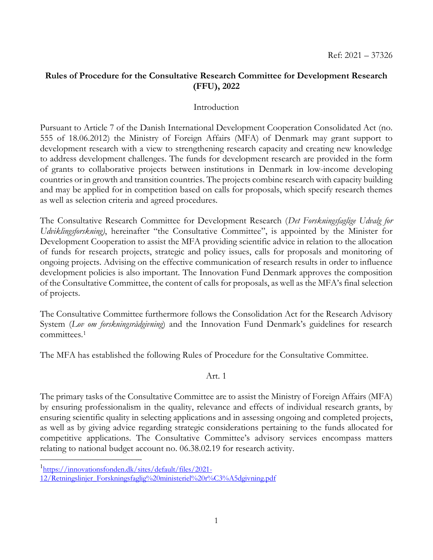# **Rules of Procedure for the Consultative Research Committee for Development Research (FFU), 2022**

## Introduction

Pursuant to Article 7 of the Danish International Development Cooperation Consolidated Act (no. 555 of 18.06.2012) the Ministry of Foreign Affairs (MFA) of Denmark may grant support to development research with a view to strengthening research capacity and creating new knowledge to address development challenges. The funds for development research are provided in the form of grants to collaborative projects between institutions in Denmark in low-income developing countries or in growth and transition countries. The projects combine research with capacity building and may be applied for in competition based on calls for proposals, which specify research themes as well as selection criteria and agreed procedures.

The Consultative Research Committee for Development Research (*Det Forskningsfaglige Udvalg for Udviklingsforskning)*, hereinafter "the Consultative Committee", is appointed by the Minister for Development Cooperation to assist the MFA providing scientific advice in relation to the allocation of funds for research projects, strategic and policy issues, calls for proposals and monitoring of ongoing projects. Advising on the effective communication of research results in order to influence development policies is also important. The Innovation Fund Denmark approves the composition of the Consultative Committee, the content of calls for proposals, as well as the MFA's final selection of projects.

The Consultative Committee furthermore follows the Consolidation Act for the Research Advisory System (*Lov om forskningsrådgivning*) and the Innovation Fund Denmark's guidelines for research committees.<sup>1</sup>

The MFA has established the following Rules of Procedure for the Consultative Committee.

Art. 1

The primary tasks of the Consultative Committee are to assist the Ministry of Foreign Affairs (MFA) by ensuring professionalism in the quality, relevance and effects of individual research grants, by ensuring scientific quality in selecting applications and in assessing ongoing and completed projects, as well as by giving advice regarding strategic considerations pertaining to the funds allocated for competitive applications. The Consultative Committee's advisory services encompass matters relating to national budget account no. 06.38.02.19 for research activity.

 $\overline{a}$ 

<sup>1</sup> [https://innovationsfonden.dk/sites/default/files/2021-](https://innovationsfonden.dk/sites/default/files/2021-12/Retningslinjer_Forskningsfaglig%20ministeriel%20r%C3%A5dgivning.pdf)

[<sup>12/</sup>Retningslinjer\\_Forskningsfaglig%20ministeriel%20r%C3%A5dgivning.pdf](https://innovationsfonden.dk/sites/default/files/2021-12/Retningslinjer_Forskningsfaglig%20ministeriel%20r%C3%A5dgivning.pdf)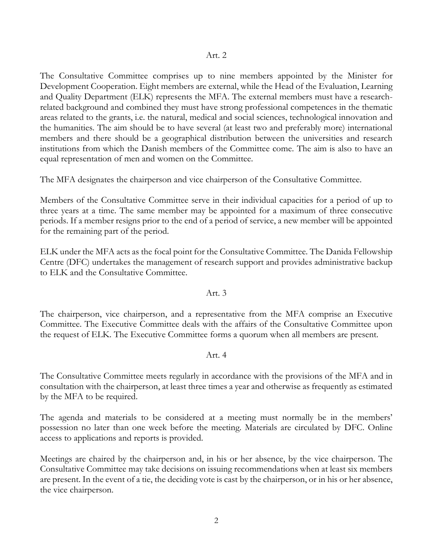The Consultative Committee comprises up to nine members appointed by the Minister for Development Cooperation. Eight members are external, while the Head of the Evaluation, Learning and Quality Department (ELK) represents the MFA. The external members must have a researchrelated background and combined they must have strong professional competences in the thematic areas related to the grants, i.e. the natural, medical and social sciences, technological innovation and the humanities. The aim should be to have several (at least two and preferably more) international members and there should be a geographical distribution between the universities and research institutions from which the Danish members of the Committee come. The aim is also to have an equal representation of men and women on the Committee.

The MFA designates the chairperson and vice chairperson of the Consultative Committee.

Members of the Consultative Committee serve in their individual capacities for a period of up to three years at a time. The same member may be appointed for a maximum of three consecutive periods. If a member resigns prior to the end of a period of service, a new member will be appointed for the remaining part of the period.

ELK under the MFA acts as the focal point for the Consultative Committee. The Danida Fellowship Centre (DFC) undertakes the management of research support and provides administrative backup to ELK and the Consultative Committee.

## Art. 3

The chairperson, vice chairperson, and a representative from the MFA comprise an Executive Committee. The Executive Committee deals with the affairs of the Consultative Committee upon the request of ELK. The Executive Committee forms a quorum when all members are present.

# Art. 4

The Consultative Committee meets regularly in accordance with the provisions of the MFA and in consultation with the chairperson, at least three times a year and otherwise as frequently as estimated by the MFA to be required.

The agenda and materials to be considered at a meeting must normally be in the members' possession no later than one week before the meeting. Materials are circulated by DFC. Online access to applications and reports is provided.

Meetings are chaired by the chairperson and, in his or her absence, by the vice chairperson. The Consultative Committee may take decisions on issuing recommendations when at least six members are present. In the event of a tie, the deciding vote is cast by the chairperson, or in his or her absence, the vice chairperson.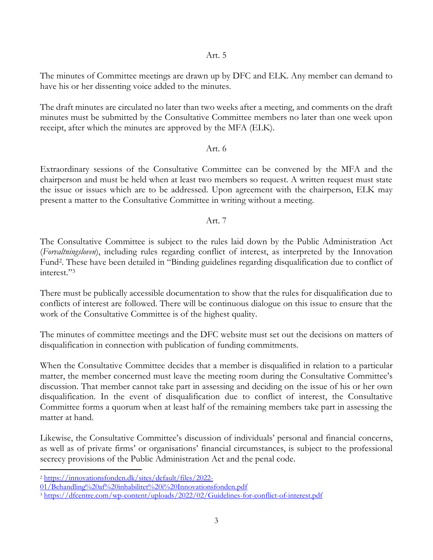Art. 5

The minutes of Committee meetings are drawn up by DFC and ELK. Any member can demand to have his or her dissenting voice added to the minutes.

The draft minutes are circulated no later than two weeks after a meeting, and comments on the draft minutes must be submitted by the Consultative Committee members no later than one week upon receipt, after which the minutes are approved by the MFA (ELK).

## Art. 6

Extraordinary sessions of the Consultative Committee can be convened by the MFA and the chairperson and must be held when at least two members so request. A written request must state the issue or issues which are to be addressed. Upon agreement with the chairperson, ELK may present a matter to the Consultative Committee in writing without a meeting.

# Art. 7

The Consultative Committee is subject to the rules laid down by the Public Administration Act (*Forvaltningsloven*), including rules regarding conflict of interest, as interpreted by the Innovation Fund<sup>2</sup> . These have been detailed in "Binding guidelines regarding disqualification due to conflict of interest." 3

There must be publically accessible documentation to show that the rules for disqualification due to conflicts of interest are followed. There will be continuous dialogue on this issue to ensure that the work of the Consultative Committee is of the highest quality.

The minutes of committee meetings and the DFC website must set out the decisions on matters of disqualification in connection with publication of funding commitments.

When the Consultative Committee decides that a member is disqualified in relation to a particular matter, the member concerned must leave the meeting room during the Consultative Committee's discussion. That member cannot take part in assessing and deciding on the issue of his or her own disqualification. In the event of disqualification due to conflict of interest, the Consultative Committee forms a quorum when at least half of the remaining members take part in assessing the matter at hand.

Likewise, the Consultative Committee's discussion of individuals' personal and financial concerns, as well as of private firms' or organisations' financial circumstances, is subject to the professional secrecy provisions of the Public Administration Act and the penal code.

 $\overline{a}$ 

<sup>2</sup> [https://innovationsfonden.dk/sites/default/files/2022-](https://innovationsfonden.dk/sites/default/files/2022-01/Behandling%20af%20inhabilitet%20i%20Innovationsfonden.pdf)

[<sup>01/</sup>Behandling%20af%20inhabilitet%20i%20Innovationsfonden.pdf](https://innovationsfonden.dk/sites/default/files/2022-01/Behandling%20af%20inhabilitet%20i%20Innovationsfonden.pdf)

<sup>&</sup>lt;sup>3</sup> <https://dfcentre.com/wp-content/uploads/2022/02/Guidelines-for-conflict-of-interest.pdf>